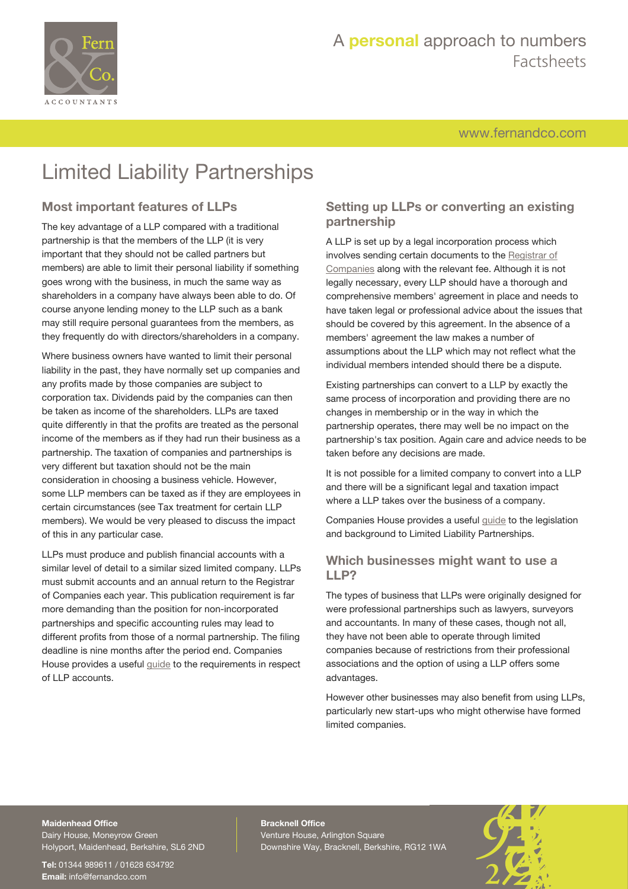

# A **personal** approach to numbers Factsheets

[www.fernandco.com](http://www.fernandco.com)

# Limited Liability Partnerships

### **Most important features of LLPs**

The key advantage of a LLP compared with a traditional partnership is that the members of the LLP (it is very important that they should not be called partners but members) are able to limit their personal liability if something goes wrong with the business, in much the same way as shareholders in a company have always been able to do. Of course anyone lending money to the LLP such as a bank may still require personal guarantees from the members, as they frequently do with directors/shareholders in a company.

Where business owners have wanted to limit their personal liability in the past, they have normally set up companies and any profits made by those companies are subject to corporation tax. Dividends paid by the companies can then be taken as income of the shareholders. LLPs are taxed quite differently in that the profits are treated as the personal income of the members as if they had run their business as a partnership. The taxation of companies and partnerships is very different but taxation should not be the main consideration in choosing a business vehicle. However, some LLP members can be taxed as if they are employees in certain circumstances (see Tax treatment for certain LLP members). We would be very pleased to discuss the impact of this in any particular case.

LLPs must produce and publish financial accounts with a similar level of detail to a similar sized limited company. LLPs must submit accounts and an annual return to the Registrar of Companies each year. This publication requirement is far more demanding than the position for non-incorporated partnerships and specific accounting rules may lead to different profits from those of a normal partnership. The filing deadline is nine months after the period end. Companies House provides a useful [guide](https://www.gov.uk/government/publications/limited-liability-partnership-accounts-guidance/llp-accounts#contents) to the requirements in respect of LLP accounts.

### **Setting up LLPs or converting an existing partnership**

A LLP is set up by a legal incorporation process which involves sending certain documents to the [Registrar of](http://www.companieshouse.gov.uk) [Companies](http://www.companieshouse.gov.uk) along with the relevant fee. Although it is not legally necessary, every LLP should have a thorough and comprehensive members' agreement in place and needs to have taken legal or professional advice about the issues that should be covered by this agreement. In the absence of a members' agreement the law makes a number of assumptions about the LLP which may not reflect what the individual members intended should there be a dispute.

Existing partnerships can convert to a LLP by exactly the same process of incorporation and providing there are no changes in membership or in the way in which the partnership operates, there may well be no impact on the partnership's tax position. Again care and advice needs to be taken before any decisions are made.

It is not possible for a limited company to convert into a LLP and there will be a significant legal and taxation impact where a LLP takes over the business of a company.

Companies House provides a useful [guide](http://www.gov.uk/government/publications/life-of-a-limited-liability-partnership/life-of-a-limited-liability-partnership-gpllp3) to the legislation and background to Limited Liability Partnerships.

#### **Which businesses might want to use a LLP?**

The types of business that LLPs were originally designed for were professional partnerships such as lawyers, surveyors and accountants. In many of these cases, though not all, they have not been able to operate through limited companies because of restrictions from their professional associations and the option of using a LLP offers some advantages.

However other businesses may also benefit from using LLPs, particularly new start-ups who might otherwise have formed limited companies.

### **Maidenhead Office**

Dairy House, Moneyrow Green Holyport, Maidenhead, Berkshire, SL6 2ND

**Tel:** 01344 989611 / 01628 634792 **Email:** [info@fernandco.com](mailto:info@fernandco.com)

**Bracknell Office** Venture House, Arlington Square Downshire Way, Bracknell, Berkshire, RG12 1WA